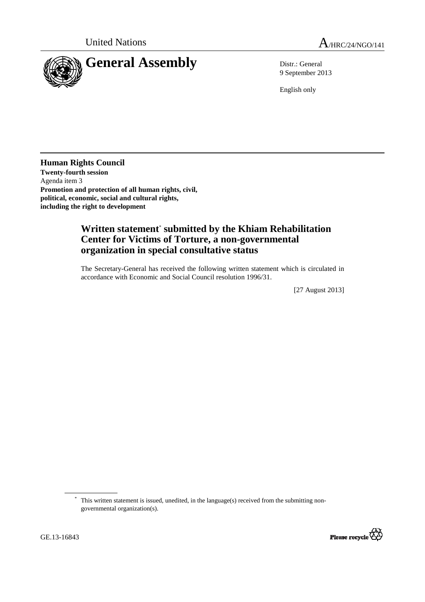

9 September 2013

English only

**Human Rights Council Twenty-fourth session**  Agenda item 3 **Promotion and protection of all human rights, civil, political, economic, social and cultural rights, including the right to development** 

## **Written statement**\*  **submitted by the Khiam Rehabilitation Center for Victims of Torture, a non-governmental organization in special consultative status**

The Secretary-General has received the following written statement which is circulated in accordance with Economic and Social Council resolution 1996/31.

[27 August 2013]

 <sup>\*</sup> This written statement is issued, unedited, in the language(s) received from the submitting nongovernmental organization(s).



 $\overline{a}$